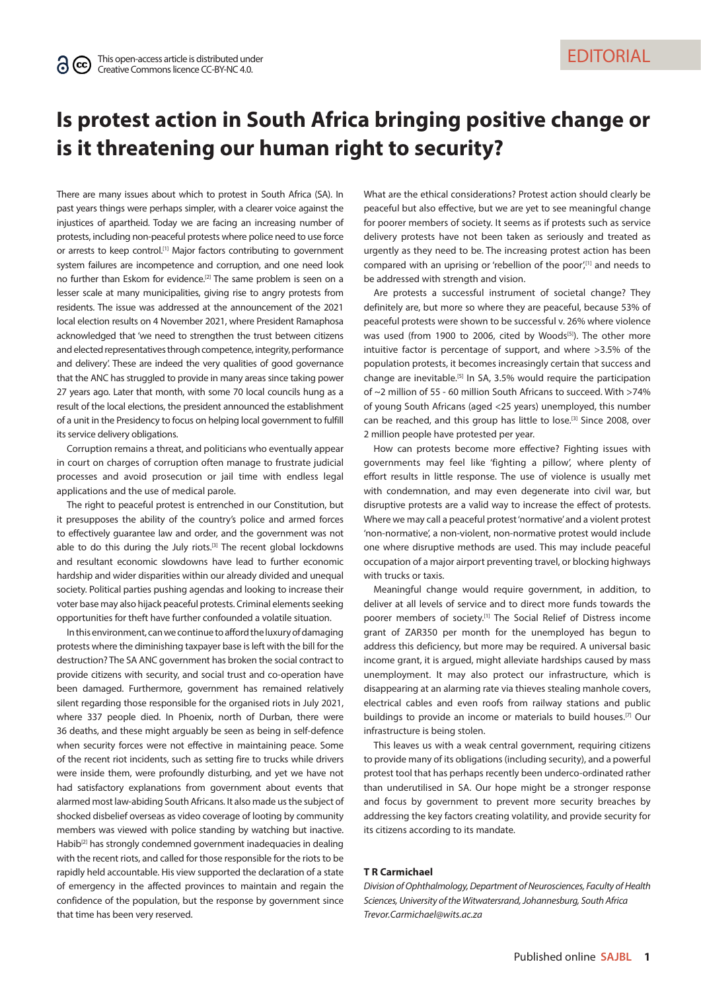## **Is protest action in South Africa bringing positive change or is it threatening our human right to security?**

There are many issues about which to protest in South Africa (SA). In past years things were perhaps simpler, with a clearer voice against the injustices of apartheid. Today we are facing an increasing number of protests, including non-peaceful protests where police need to use force or arrests to keep control.<sup>[1]</sup> Major factors contributing to government system failures are incompetence and corruption, and one need look no further than Eskom for evidence.[2] The same problem is seen on a lesser scale at many municipalities, giving rise to angry protests from residents. The issue was addressed at the announcement of the 2021 local election results on 4 November 2021, where President Ramaphosa acknowledged that 'we need to strengthen the trust between citizens and elected representatives through competence, integrity, performance and delivery'. These are indeed the very qualities of good governance that the ANC has struggled to provide in many areas since taking power 27 years ago. Later that month, with some 70 local councils hung as a result of the local elections, the president announced the establishment of a unit in the Presidency to focus on helping local government to fulfill its service delivery obligations.

Corruption remains a threat, and politicians who eventually appear in court on charges of corruption often manage to frustrate judicial processes and avoid prosecution or jail time with endless legal applications and the use of medical parole.

The right to peaceful protest is entrenched in our Constitution, but it presupposes the ability of the country's police and armed forces to effectively guarantee law and order, and the government was not able to do this during the July riots.<sup>[3]</sup> The recent global lockdowns and resultant economic slowdowns have lead to further economic hardship and wider disparities within our already divided and unequal society. Political parties pushing agendas and looking to increase their voter base may also hijack peaceful protests. Criminal elements seeking opportunities for theft have further confounded a volatile situation.

In this environment, can we continue to afford the luxury of damaging protests where the diminishing taxpayer base is left with the bill for the destruction? The SA ANC government has broken the social contract to provide citizens with security, and social trust and co-operation have been damaged. Furthermore, government has remained relatively silent regarding those responsible for the organised riots in July 2021, where 337 people died. In Phoenix, north of Durban, there were 36 deaths, and these might arguably be seen as being in self-defence when security forces were not effective in maintaining peace. Some of the recent riot incidents, such as setting fire to trucks while drivers were inside them, were profoundly disturbing, and yet we have not had satisfactory explanations from government about events that alarmed most law-abiding South Africans. It also made us the subject of shocked disbelief overseas as video coverage of looting by community members was viewed with police standing by watching but inactive. Habib<sup>[2]</sup> has strongly condemned government inadequacies in dealing with the recent riots, and called for those responsible for the riots to be rapidly held accountable. His view supported the declaration of a state of emergency in the affected provinces to maintain and regain the confidence of the population, but the response by government since that time has been very reserved.

What are the ethical considerations? Protest action should clearly be peaceful but also effective, but we are yet to see meaningful change for poorer members of society. It seems as if protests such as service delivery protests have not been taken as seriously and treated as urgently as they need to be. The increasing protest action has been compared with an uprising or 'rebellion of the poor',<sup>[1]</sup> and needs to be addressed with strength and vision.

Are protests a successful instrument of societal change? They definitely are, but more so where they are peaceful, because 53% of peaceful protests were shown to be successful v. 26% where violence was used (from 1900 to 2006, cited by Woods<sup>[5]</sup>). The other more intuitive factor is percentage of support, and where >3.5% of the population protests, it becomes increasingly certain that success and change are inevitable.[5] In SA, 3.5% would require the participation of ~2 million of 55 - 60 million South Africans to succeed. With >74% of young South Africans (aged <25 years) unemployed, this number can be reached, and this group has little to lose.[3] Since 2008, over 2 million people have protested per year.

How can protests become more effective? Fighting issues with governments may feel like 'fighting a pillow', where plenty of effort results in little response. The use of violence is usually met with condemnation, and may even degenerate into civil war, but disruptive protests are a valid way to increase the effect of protests. Where we may call a peaceful protest 'normative' and a violent protest 'non-normative', a non-violent, non-normative protest would include one where disruptive methods are used. This may include peaceful occupation of a major airport preventing travel, or blocking highways with trucks or taxis.

Meaningful change would require government, in addition, to deliver at all levels of service and to direct more funds towards the poorer members of society.[1] The Social Relief of Distress income grant of ZAR350 per month for the unemployed has begun to address this deficiency, but more may be required. A universal basic income grant, it is argued, might alleviate hardships caused by mass unemployment. It may also protect our infrastructure, which is disappearing at an alarming rate via thieves stealing manhole covers, electrical cables and even roofs from railway stations and public buildings to provide an income or materials to build houses.[7] Our infrastructure is being stolen.

This leaves us with a weak central government, requiring citizens to provide many of its obligations (including security), and a powerful protest tool that has perhaps recently been underco-ordinated rather than underutilised in SA. Our hope might be a stronger response and focus by government to prevent more security breaches by addressing the key factors creating volatility, and provide security for its citizens according to its mandate.

## **T R Carmichael**

*Division of Ophthalmology, Department of Neurosciences, Faculty of Health Sciences, University of the Witwatersrand, Johannesburg, South Africa [Trevor.Carmichael@wits.ac.za](mailto:Trevor.Carmichael@wits.ac.za)*